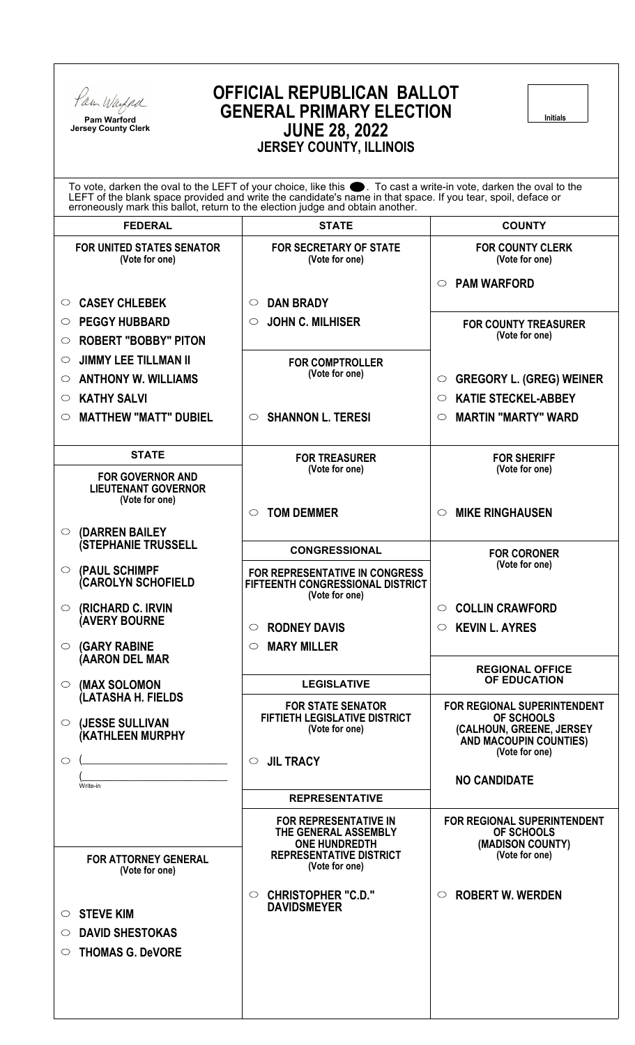

**Pam Warford Jersey County Clerk**

# **OFFICIAL REPUBLICAN BALLOT GENERAL PRIMARY ELECTION JUNE 28, 2022 JERSEY COUNTY, ILLINOIS**

**Initials**

| To vote, darken the oval to the LEFT of your choice, like this . To cast a write-in vote, darken the oval to the<br>LEFT of the blank space provided and write the candidate's name in that space. If you tear, spoil, deface or<br>erroneously mark this ballot, return to the election judge and obtain another. |                                                                                             |                                                                         |  |  |
|--------------------------------------------------------------------------------------------------------------------------------------------------------------------------------------------------------------------------------------------------------------------------------------------------------------------|---------------------------------------------------------------------------------------------|-------------------------------------------------------------------------|--|--|
| <b>FEDERAL</b>                                                                                                                                                                                                                                                                                                     | <b>STATE</b>                                                                                | <b>COUNTY</b>                                                           |  |  |
| FOR UNITED STATES SENATOR<br>(Vote for one)                                                                                                                                                                                                                                                                        | <b>FOR SECRETARY OF STATE</b><br>(Vote for one)                                             | <b>FOR COUNTY CLERK</b><br>(Vote for one)                               |  |  |
| <b>CASEY CHLEBEK</b><br>$\circ$                                                                                                                                                                                                                                                                                    | <b>DAN BRADY</b><br>$\circ$                                                                 | <b>PAM WARFORD</b><br>$\circ$                                           |  |  |
|                                                                                                                                                                                                                                                                                                                    |                                                                                             |                                                                         |  |  |
| <b>PEGGY HUBBARD</b><br>$\circ$                                                                                                                                                                                                                                                                                    | <b>JOHN C. MILHISER</b><br>$\circ$                                                          | <b>FOR COUNTY TREASURER</b><br>(Vote for one)                           |  |  |
| <b>ROBERT "BOBBY" PITON</b><br>$\circ$                                                                                                                                                                                                                                                                             |                                                                                             |                                                                         |  |  |
| <b>JIMMY LEE TILLMAN II</b><br>$\circ$                                                                                                                                                                                                                                                                             | <b>FOR COMPTROLLER</b><br>(Vote for one)                                                    |                                                                         |  |  |
| <b>ANTHONY W. WILLIAMS</b><br>$\circ$                                                                                                                                                                                                                                                                              |                                                                                             | <b>GREGORY L. (GREG) WEINER</b><br>$\circ$                              |  |  |
| <b>KATHY SALVI</b><br>O                                                                                                                                                                                                                                                                                            |                                                                                             | <b>KATIE STECKEL-ABBEY</b><br>◯                                         |  |  |
| <b>MATTHEW "MATT" DUBIEL</b><br>O                                                                                                                                                                                                                                                                                  | $\circ$ SHANNON L. TERESI                                                                   | <b>MARTIN "MARTY" WARD</b><br>$\circ$                                   |  |  |
| <b>STATE</b>                                                                                                                                                                                                                                                                                                       | <b>FOR TREASURER</b>                                                                        | <b>FOR SHERIFF</b>                                                      |  |  |
| <b>FOR GOVERNOR AND</b><br><b>LIEUTENANT GOVERNOR</b><br>(Vote for one)                                                                                                                                                                                                                                            | (Vote for one)                                                                              | (Vote for one)                                                          |  |  |
| (DARREN BAILEY<br>$\circ$                                                                                                                                                                                                                                                                                          | <b>TOM DEMMER</b><br>$\circlearrowright$                                                    | <b>MIKE RINGHAUSEN</b><br>$\circ$                                       |  |  |
| <b>(STEPHANIE TRUSSELL</b>                                                                                                                                                                                                                                                                                         | <b>CONGRESSIONAL</b>                                                                        | <b>FOR CORONER</b>                                                      |  |  |
| (PAUL SCHIMPF<br>$\circ$<br><b>CAROLYN SCHOFIELD</b>                                                                                                                                                                                                                                                               | <b>FOR REPRESENTATIVE IN CONGRESS</b><br>FIFTEENTH CONGRESSIONAL DISTRICT<br>(Vote for one) | (Vote for one)                                                          |  |  |
| (RICHARD C. IRVIN<br>$\circ$                                                                                                                                                                                                                                                                                       |                                                                                             | <b>COLLIN CRAWFORD</b><br>$\circ$                                       |  |  |
| <b>(AVERY BOURNE</b>                                                                                                                                                                                                                                                                                               | <b>RODNEY DAVIS</b><br>$\circ$                                                              | $\circ$ KEVIN L. AYRES                                                  |  |  |
| <b>(GARY RABINE</b><br>$\circ$                                                                                                                                                                                                                                                                                     | <b>MARY MILLER</b><br>$\circ$                                                               |                                                                         |  |  |
| (AARON DEL MAR                                                                                                                                                                                                                                                                                                     |                                                                                             | <b>REGIONAL OFFICE</b>                                                  |  |  |
| (MAX SOLOMON<br>$\bigcirc$                                                                                                                                                                                                                                                                                         | <b>LEGISLATIVE</b>                                                                          | <b>OF EDUCATION</b>                                                     |  |  |
| (LATASHA H. FIELDS                                                                                                                                                                                                                                                                                                 | <b>FOR STATE SENATOR</b>                                                                    | FOR REGIONAL SUPERINTENDENT                                             |  |  |
| (JESSE SULLIVAN<br>$\circ$<br>(KATHLEEN MURPHY                                                                                                                                                                                                                                                                     | FIFTIETH LEGISLATIVE DISTRICT<br>(Vote for one)                                             | OF SCHOOLS<br>(CALHOUN, GREENE, JERSEY<br><b>AND MACOUPIN COUNTIES)</b> |  |  |
| $\circ$                                                                                                                                                                                                                                                                                                            | <b>JIL TRACY</b><br>$\circ$                                                                 | (Vote for one)                                                          |  |  |
|                                                                                                                                                                                                                                                                                                                    |                                                                                             | <b>NO CANDIDATE</b>                                                     |  |  |
| Write-in                                                                                                                                                                                                                                                                                                           | <b>REPRESENTATIVE</b>                                                                       |                                                                         |  |  |
|                                                                                                                                                                                                                                                                                                                    | <b>FOR REPRESENTATIVE IN</b>                                                                | FOR REGIONAL SUPERINTENDENT                                             |  |  |
|                                                                                                                                                                                                                                                                                                                    | THE GENERAL ASSEMBLY<br><b>ONE HUNDREDTH</b>                                                | OF SCHOOLS<br>(MADISON COUNTY)                                          |  |  |
| <b>FOR ATTORNEY GENERAL</b><br>(Vote for one)                                                                                                                                                                                                                                                                      | <b>REPRESENTATIVE DISTRICT</b><br>(Vote for one)                                            | (Vote for one)                                                          |  |  |
| <b>STEVE KIM</b><br>0                                                                                                                                                                                                                                                                                              | <b>CHRISTOPHER "C.D."</b><br>$\circ$<br><b>DAVIDSMEYER</b>                                  | <b>ROBERT W. WERDEN</b><br>$\circ$                                      |  |  |
| <b>DAVID SHESTOKAS</b><br>$\circ$                                                                                                                                                                                                                                                                                  |                                                                                             |                                                                         |  |  |
| <b>THOMAS G. DeVORE</b><br>$\circlearrowright$                                                                                                                                                                                                                                                                     |                                                                                             |                                                                         |  |  |
|                                                                                                                                                                                                                                                                                                                    |                                                                                             |                                                                         |  |  |
|                                                                                                                                                                                                                                                                                                                    |                                                                                             |                                                                         |  |  |
|                                                                                                                                                                                                                                                                                                                    |                                                                                             |                                                                         |  |  |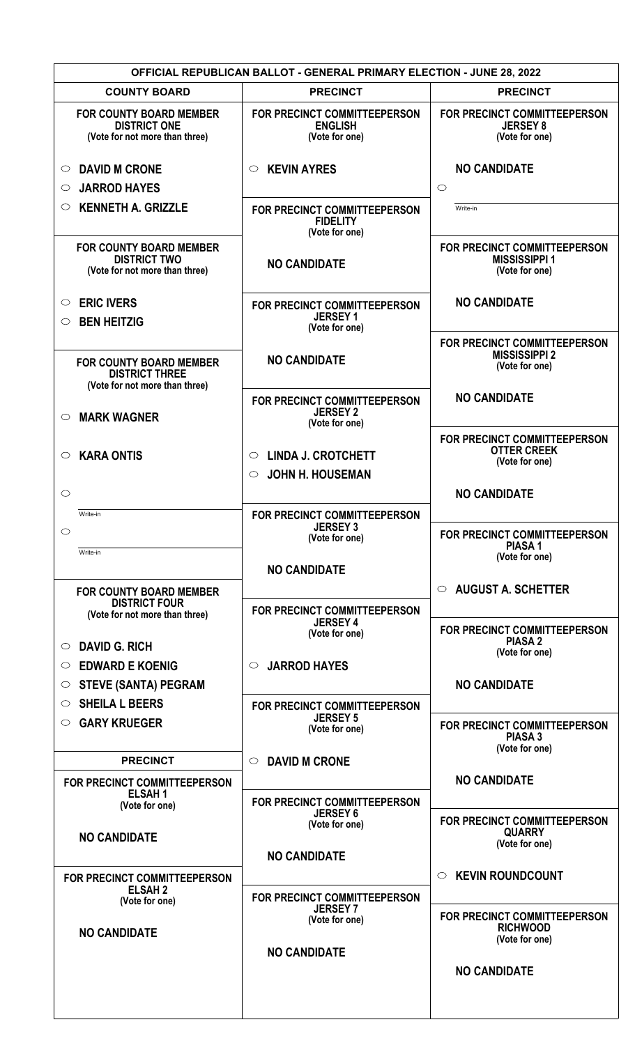| <b>OFFICIAL REPUBLICAN BALLOT - GENERAL PRIMARY ELECTION - JUNE 28, 2022</b>            |                                                                            |                                                                          |  |  |
|-----------------------------------------------------------------------------------------|----------------------------------------------------------------------------|--------------------------------------------------------------------------|--|--|
| <b>COUNTY BOARD</b>                                                                     | <b>PRECINCT</b>                                                            | <b>PRECINCT</b>                                                          |  |  |
| <b>FOR COUNTY BOARD MEMBER</b><br><b>DISTRICT ONE</b><br>(Vote for not more than three) | <b>FOR PRECINCT COMMITTEEPERSON</b><br><b>ENGLISH</b><br>(Vote for one)    | <b>FOR PRECINCT COMMITTEEPERSON</b><br><b>JERSEY 8</b><br>(Vote for one) |  |  |
| <b>DAVID M CRONE</b><br>$\circ$                                                         | <b>KEVIN AYRES</b><br>$\circ$                                              | <b>NO CANDIDATE</b>                                                      |  |  |
| <b>JARROD HAYES</b><br>$\circ$                                                          |                                                                            | $\circ$                                                                  |  |  |
| <b>KENNETH A. GRIZZLE</b><br>O                                                          | FOR PRECINCT COMMITTEEPERSON<br><b>FIDELITY</b><br>(Vote for one)          | Write-in                                                                 |  |  |
| <b>FOR COUNTY BOARD MEMBER</b><br><b>DISTRICT TWO</b><br>(Vote for not more than three) | <b>NO CANDIDATE</b>                                                        | FOR PRECINCT COMMITTEEPERSON<br><b>MISSISSIPPI 1</b><br>(Vote for one)   |  |  |
| <b>ERIC IVERS</b><br>$\circ$                                                            | FOR PRECINCT COMMITTEEPERSON<br><b>JERSEY 1</b>                            | <b>NO CANDIDATE</b>                                                      |  |  |
| <b>BEN HEITZIG</b><br>$\circ$                                                           | (Vote for one)                                                             |                                                                          |  |  |
| <b>FOR COUNTY BOARD MEMBER</b><br><b>DISTRICT THREE</b>                                 | <b>NO CANDIDATE</b>                                                        | FOR PRECINCT COMMITTEEPERSON<br><b>MISSISSIPPI 2</b><br>(Vote for one)   |  |  |
| (Vote for not more than three)<br><b>MARK WAGNER</b><br>$\circ$                         | FOR PRECINCT COMMITTEEPERSON<br><b>JERSEY 2</b><br>(Vote for one)          | <b>NO CANDIDATE</b>                                                      |  |  |
| <b>KARA ONTIS</b><br>$\circlearrowright$                                                | <b>LINDA J. CROTCHETT</b><br>$\circ$<br><b>JOHN H. HOUSEMAN</b><br>$\circ$ | FOR PRECINCT COMMITTEEPERSON<br><b>OTTER CREEK</b><br>(Vote for one)     |  |  |
| $\circlearrowright$                                                                     |                                                                            | <b>NO CANDIDATE</b>                                                      |  |  |
| Write-in                                                                                | FOR PRECINCT COMMITTEEPERSON                                               |                                                                          |  |  |
| $\circlearrowright$                                                                     | <b>JERSEY 3</b><br>(Vote for one)                                          | FOR PRECINCT COMMITTEEPERSON<br><b>PIASA1</b>                            |  |  |
| Write-in                                                                                | <b>NO CANDIDATE</b>                                                        | (Vote for one)                                                           |  |  |
| <b>FOR COUNTY BOARD MEMBER</b>                                                          |                                                                            | <b>AUGUST A. SCHETTER</b><br>$\circ$                                     |  |  |
| <b>DISTRICT FOUR</b><br>(Vote for not more than three)                                  | FOR PRECINCT COMMITTEEPERSON<br><b>JERSEY 4</b>                            | FOR PRECINCT COMMITTEEPERSON                                             |  |  |
| <b>DAVID G. RICH</b><br>$\circ$                                                         | (Vote for one)                                                             | <b>PIASA 2</b><br>(Vote for one)                                         |  |  |
| <b>EDWARD E KOENIG</b><br>◯                                                             | <b>JARROD HAYES</b><br>$\circlearrowright$                                 |                                                                          |  |  |
| <b>STEVE (SANTA) PEGRAM</b><br>O                                                        |                                                                            | <b>NO CANDIDATE</b>                                                      |  |  |
| <b>SHEILA L BEERS</b><br>O                                                              | FOR PRECINCT COMMITTEEPERSON                                               |                                                                          |  |  |
| <b>GARY KRUEGER</b><br>$\circ$                                                          | <b>JERSEY 5</b><br>(Vote for one)                                          | FOR PRECINCT COMMITTEEPERSON<br><b>PIASA 3</b>                           |  |  |
| <b>PRECINCT</b>                                                                         | <b>DAVID M CRONE</b><br>$\circlearrowright$                                | (Vote for one)                                                           |  |  |
| <b>FOR PRECINCT COMMITTEEPERSON</b>                                                     |                                                                            | <b>NO CANDIDATE</b>                                                      |  |  |
| <b>ELSAH1</b><br>(Vote for one)                                                         | FOR PRECINCT COMMITTEEPERSON                                               |                                                                          |  |  |
|                                                                                         | <b>JERSEY 6</b><br>(Vote for one)                                          | <b>FOR PRECINCT COMMITTEEPERSON</b><br><b>QUARRY</b>                     |  |  |
| <b>NO CANDIDATE</b>                                                                     | <b>NO CANDIDATE</b>                                                        | (Vote for one)                                                           |  |  |
| FOR PRECINCT COMMITTEEPERSON                                                            |                                                                            | <b>KEVIN ROUNDCOUNT</b><br>$\circ$                                       |  |  |
| <b>ELSAH2</b><br>(Vote for one)                                                         | FOR PRECINCT COMMITTEEPERSON<br><b>JERSEY7</b>                             |                                                                          |  |  |
| <b>NO CANDIDATE</b>                                                                     | (Vote for one)                                                             | FOR PRECINCT COMMITTEEPERSON<br><b>RICHWOOD</b><br>(Vote for one)        |  |  |
|                                                                                         | <b>NO CANDIDATE</b>                                                        |                                                                          |  |  |
|                                                                                         |                                                                            | <b>NO CANDIDATE</b>                                                      |  |  |
|                                                                                         |                                                                            |                                                                          |  |  |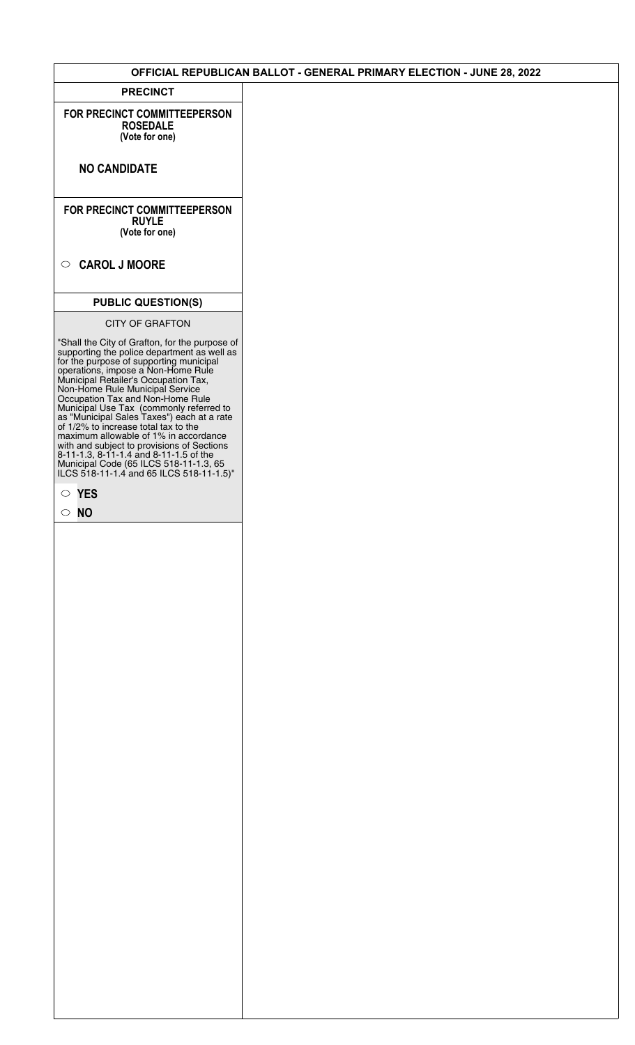### **OFFICIAL REPUBLICAN BALLOT - GENERAL PRIMARY ELECTION - JUNE 28, 2022**

**PRECINCT**

**FOR PRECINCT COMMITTEEPERSON ROSEDALE (Vote for one)**

**NO CANDIDATE**

**FOR PRECINCT COMMITTEEPERSON RUYLE (Vote for one)**

## **CAROL J MOORE**

## **PUBLIC QUESTION(S)**

#### CITY OF GRAFTON

"Shall the City of Grafton, for the purpose of supporting the police department as well as for the purpose of supporting municipal operations, impose a Non-Home Rule Municipal Retailer's Occupation Tax, Non-Home Rule Municipal Service Occupation Tax and Non-Home Rule Municipal Use Tax (commonly referred to as "Municipal Sales Taxes") each at a rate of 1/2% to increase total tax to the maximum allowable of 1% in accordance with and subject to provisions of Sections 8-11-1.3, 8-11-1.4 and 8-11-1.5 of the Municipal Code (65 ILCS 518-11-1.3, 65 ILCS 518-11-1.4 and 65 ILCS 518-11-1.5)"

**YES**

**NO**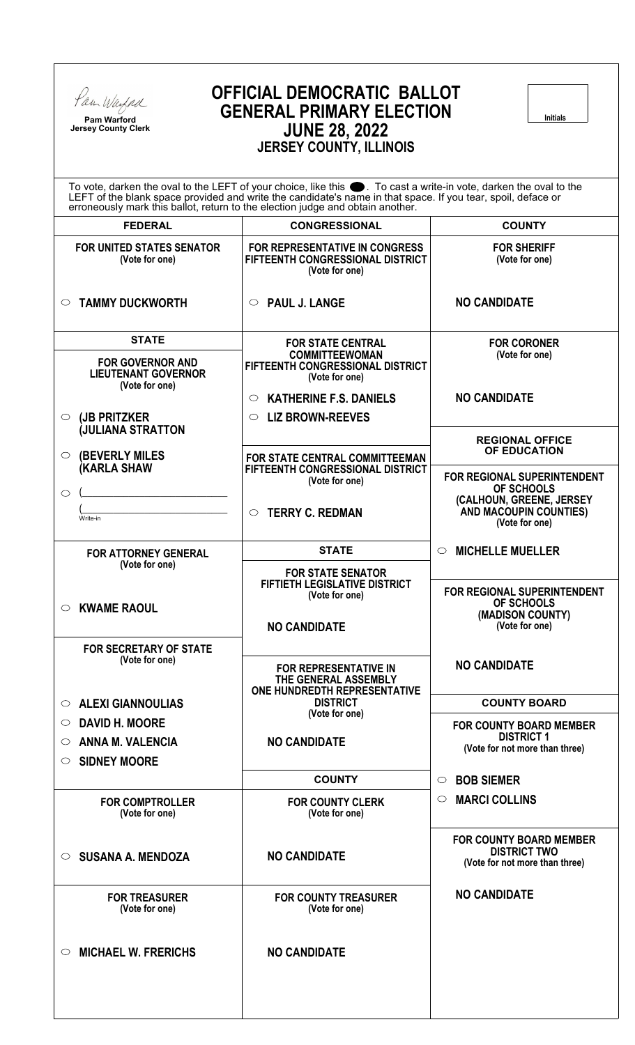

**Pam Warford Jersey County Clerk**

# **OFFICIAL DEMOCRATIC BALLOT GENERAL PRIMARY ELECTION JUNE 28, 2022 JERSEY COUNTY, ILLINOIS**

**Initials**

| <b>VLIVULI VUUNII, ILLIINUIV</b>                                                                                                                                                                                                                                                                                       |                                                                                             |                                                                                         |  |  |
|------------------------------------------------------------------------------------------------------------------------------------------------------------------------------------------------------------------------------------------------------------------------------------------------------------------------|---------------------------------------------------------------------------------------------|-----------------------------------------------------------------------------------------|--|--|
| To vote, darken the oval to the LEFT of your choice, like this $\bullet$ . To cast a write-in vote, darken the oval to the LEFT of the blank space provided and write the candidate's name in that space. If you tear, spoil, deface<br>erroneously mark this ballot, return to the election judge and obtain another. |                                                                                             |                                                                                         |  |  |
| <b>FEDERAL</b>                                                                                                                                                                                                                                                                                                         | <b>CONGRESSIONAL</b>                                                                        | <b>COUNTY</b>                                                                           |  |  |
| <b>FOR UNITED STATES SENATOR</b><br>(Vote for one)                                                                                                                                                                                                                                                                     | <b>FOR REPRESENTATIVE IN CONGRESS</b><br>FIFTEENTH CONGRESSIONAL DISTRICT<br>(Vote for one) | <b>FOR SHERIFF</b><br>(Vote for one)                                                    |  |  |
| <b>TAMMY DUCKWORTH</b><br>$\circ$                                                                                                                                                                                                                                                                                      | $\circ$ PAUL J. LANGE                                                                       | <b>NO CANDIDATE</b>                                                                     |  |  |
| <b>STATE</b>                                                                                                                                                                                                                                                                                                           | <b>FOR STATE CENTRAL</b>                                                                    | <b>FOR CORONER</b>                                                                      |  |  |
| <b>FOR GOVERNOR AND</b><br><b>LIEUTENANT GOVERNOR</b><br>(Vote for one)                                                                                                                                                                                                                                                | <b>COMMITTEEWOMAN</b><br>FIFTEENTH CONGRESSIONAL DISTRICT<br>(Vote for one)                 | (Vote for one)                                                                          |  |  |
|                                                                                                                                                                                                                                                                                                                        | <b>KATHERINE F.S. DANIELS</b><br>$\circ$                                                    | <b>NO CANDIDATE</b>                                                                     |  |  |
| (JB PRITZKER<br>$\circ$                                                                                                                                                                                                                                                                                                | $\circ$ LIZ BROWN-REEVES                                                                    |                                                                                         |  |  |
| <b>JULIANA STRATTON</b><br><b>(BEVERLY MILES</b><br>$\circ$                                                                                                                                                                                                                                                            | FOR STATE CENTRAL COMMITTEEMAN                                                              | <b>REGIONAL OFFICE</b><br>OF EDUCATION                                                  |  |  |
| <b>KARLA SHAW</b>                                                                                                                                                                                                                                                                                                      | FIFTEENTH CONGRESSIONAL DISTRICT<br>(Vote for one)                                          | FOR REGIONAL SUPERINTENDENT<br>OF SCHOOLS                                               |  |  |
| $\circ$<br>Write-in                                                                                                                                                                                                                                                                                                    | <b>TERRY C. REDMAN</b>                                                                      | (CALHOUN, GREENE, JERSEY<br><b>AND MACOUPIN COUNTIES)</b><br>(Vote for one)             |  |  |
| <b>FOR ATTORNEY GENERAL</b>                                                                                                                                                                                                                                                                                            | <b>STATE</b>                                                                                | <b>MICHELLE MUELLER</b><br>$\circ$                                                      |  |  |
| (Vote for one)                                                                                                                                                                                                                                                                                                         | <b>FOR STATE SENATOR</b>                                                                    |                                                                                         |  |  |
| <b>KWAME RAOUL</b><br>$\circ$                                                                                                                                                                                                                                                                                          | <b>FIFTIETH LEGISLATIVE DISTRICT</b><br>(Vote for one)<br><b>NO CANDIDATE</b>               | FOR REGIONAL SUPERINTENDENT<br>OF SCHOOLS<br>(MADISON COUNTY)<br>(Vote for one)         |  |  |
| <b>FOR SECRETARY OF STATE</b>                                                                                                                                                                                                                                                                                          |                                                                                             |                                                                                         |  |  |
| (Vote for one)                                                                                                                                                                                                                                                                                                         | <b>FOR REPRESENTATIVE IN</b><br>THE GENERAL ASSEMBLY<br>ONE HUNDREDTH REPRESENTATIVE        | <b>NO CANDIDATE</b>                                                                     |  |  |
| <b>ALEXI GIANNOULIAS</b><br>$\circ$                                                                                                                                                                                                                                                                                    | <b>DISTRICT</b>                                                                             | <b>COUNTY BOARD</b>                                                                     |  |  |
| <b>DAVID H. MOORE</b><br>$\circ$                                                                                                                                                                                                                                                                                       | (Vote for one)                                                                              | <b>FOR COUNTY BOARD MEMBER</b>                                                          |  |  |
| <b>ANNA M. VALENCIA</b><br>$\circ$<br><b>SIDNEY MOORE</b><br>O                                                                                                                                                                                                                                                         | <b>NO CANDIDATE</b>                                                                         | <b>DISTRICT 1</b><br>(Vote for not more than three)                                     |  |  |
|                                                                                                                                                                                                                                                                                                                        | <b>COUNTY</b>                                                                               | <b>BOB SIEMER</b><br>$\circ$                                                            |  |  |
| <b>FOR COMPTROLLER</b><br>(Vote for one)                                                                                                                                                                                                                                                                               | <b>FOR COUNTY CLERK</b><br>(Vote for one)                                                   | <b>MARCI COLLINS</b><br>$\circ$                                                         |  |  |
| <b>SUSANA A. MENDOZA</b><br>$\circ$                                                                                                                                                                                                                                                                                    | <b>NO CANDIDATE</b>                                                                         | <b>FOR COUNTY BOARD MEMBER</b><br><b>DISTRICT TWO</b><br>(Vote for not more than three) |  |  |
| <b>FOR TREASURER</b><br>(Vote for one)                                                                                                                                                                                                                                                                                 | <b>FOR COUNTY TREASURER</b><br>(Vote for one)                                               | <b>NO CANDIDATE</b>                                                                     |  |  |
| <b>MICHAEL W. FRERICHS</b><br>O                                                                                                                                                                                                                                                                                        | <b>NO CANDIDATE</b>                                                                         |                                                                                         |  |  |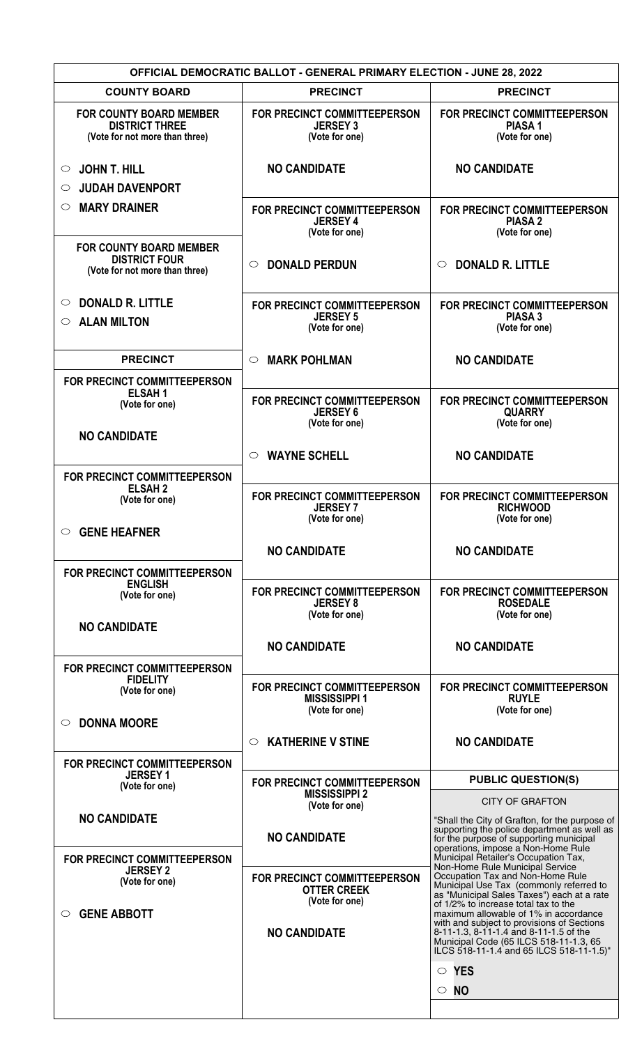| <b>OFFICIAL DEMOCRATIC BALLOT - GENERAL PRIMARY ELECTION - JUNE 28, 2022</b>              |                                                                        |                                                                                                                                                                                                                     |  |  |
|-------------------------------------------------------------------------------------------|------------------------------------------------------------------------|---------------------------------------------------------------------------------------------------------------------------------------------------------------------------------------------------------------------|--|--|
| <b>COUNTY BOARD</b>                                                                       | <b>PRECINCT</b>                                                        | <b>PRECINCT</b>                                                                                                                                                                                                     |  |  |
| <b>FOR COUNTY BOARD MEMBER</b><br><b>DISTRICT THREE</b><br>(Vote for not more than three) | FOR PRECINCT COMMITTEEPERSON<br><b>JERSEY 3</b><br>(Vote for one)      | FOR PRECINCT COMMITTEEPERSON<br><b>PIASA1</b><br>(Vote for one)                                                                                                                                                     |  |  |
| <b>JOHN T. HILL</b><br>$\circ$<br><b>JUDAH DAVENPORT</b><br>$\circ$                       | <b>NO CANDIDATE</b>                                                    | <b>NO CANDIDATE</b>                                                                                                                                                                                                 |  |  |
| <b>MARY DRAINER</b><br>$\circ$                                                            |                                                                        | <b>FOR PRECINCT COMMITTEEPERSON</b>                                                                                                                                                                                 |  |  |
|                                                                                           | FOR PRECINCT COMMITTEEPERSON<br><b>JERSEY 4</b><br>(Vote for one)      | <b>PIASA 2</b><br>(Vote for one)                                                                                                                                                                                    |  |  |
| <b>FOR COUNTY BOARD MEMBER</b><br><b>DISTRICT FOUR</b><br>(Vote for not more than three)  | <b>DONALD PERDUN</b><br>$\circ$                                        | <b>DONALD R. LITTLE</b><br>$\circlearrowright$                                                                                                                                                                      |  |  |
| <b>DONALD R. LITTLE</b><br>O                                                              | FOR PRECINCT COMMITTEEPERSON                                           | FOR PRECINCT COMMITTEEPERSON                                                                                                                                                                                        |  |  |
| <b>ALAN MILTON</b><br>$\circ$                                                             | <b>JERSEY 5</b><br>(Vote for one)                                      | <b>PIASA 3</b><br>(Vote for one)                                                                                                                                                                                    |  |  |
| <b>PRECINCT</b>                                                                           | <b>MARK POHLMAN</b><br>$\circ$                                         | <b>NO CANDIDATE</b>                                                                                                                                                                                                 |  |  |
| FOR PRECINCT COMMITTEEPERSON<br><b>ELSAH1</b>                                             |                                                                        |                                                                                                                                                                                                                     |  |  |
| (Vote for one)                                                                            | FOR PRECINCT COMMITTEEPERSON<br><b>JERSEY 6</b><br>(Vote for one)      | FOR PRECINCT COMMITTEEPERSON<br><b>QUARRY</b><br>(Vote for one)                                                                                                                                                     |  |  |
| <b>NO CANDIDATE</b>                                                                       | <b>WAYNE SCHELL</b><br>$\circ$                                         | <b>NO CANDIDATE</b>                                                                                                                                                                                                 |  |  |
| FOR PRECINCT COMMITTEEPERSON<br><b>ELSAH2</b><br>(Vote for one)<br><b>GENE HEAFNER</b>    | FOR PRECINCT COMMITTEEPERSON<br><b>JERSEY 7</b><br>(Vote for one)      | FOR PRECINCT COMMITTEEPERSON<br><b>RICHWOOD</b><br>(Vote for one)                                                                                                                                                   |  |  |
|                                                                                           | <b>NO CANDIDATE</b>                                                    | <b>NO CANDIDATE</b>                                                                                                                                                                                                 |  |  |
|                                                                                           |                                                                        |                                                                                                                                                                                                                     |  |  |
| <b>FOR PRECINCT COMMITTEEPERSON</b><br><b>ENGLISH</b><br>(Vote for one)                   | FOR PRECINCT COMMITTEEPERSON<br><b>JERSEY 8</b><br>(Vote for one)      | FOR PRECINCT COMMITTEEPERSON<br><b>ROSEDALE</b><br>(Vote for one)                                                                                                                                                   |  |  |
| <b>NO CANDIDATE</b>                                                                       |                                                                        |                                                                                                                                                                                                                     |  |  |
|                                                                                           | <b>NO CANDIDATE</b>                                                    | <b>NO CANDIDATE</b>                                                                                                                                                                                                 |  |  |
| FOR PRECINCT COMMITTEEPERSON<br><b>FIDELITY</b>                                           |                                                                        |                                                                                                                                                                                                                     |  |  |
| (Vote for one)                                                                            | FOR PRECINCT COMMITTEEPERSON<br><b>MISSISSIPPI 1</b><br>(Vote for one) | FOR PRECINCT COMMITTEEPERSON<br><b>RUYLE</b><br>(Vote for one)                                                                                                                                                      |  |  |
| <b>DONNA MOORE</b>                                                                        |                                                                        |                                                                                                                                                                                                                     |  |  |
|                                                                                           | <b>KATHERINE V STINE</b><br>$\circ$                                    | <b>NO CANDIDATE</b>                                                                                                                                                                                                 |  |  |
| FOR PRECINCT COMMITTEEPERSON<br><b>JERSEY 1</b>                                           |                                                                        |                                                                                                                                                                                                                     |  |  |
| (Vote for one)                                                                            | FOR PRECINCT COMMITTEEPERSON<br><b>MISSISSIPPI 2</b>                   | <b>PUBLIC QUESTION(S)</b>                                                                                                                                                                                           |  |  |
| <b>NO CANDIDATE</b>                                                                       | (Vote for one)                                                         | <b>CITY OF GRAFTON</b>                                                                                                                                                                                              |  |  |
|                                                                                           | <b>NO CANDIDATE</b>                                                    | "Shall the City of Grafton, for the purpose of<br>supporting the police department as well as<br>for the purpose of supporting municipal<br>operations, impose a Non-Home Rule                                      |  |  |
| FOR PRECINCT COMMITTEEPERSON<br><b>JERSEY 2</b>                                           |                                                                        | Municipal Retailer's Occupation Tax,<br>Non-Home Rule Municipal Service                                                                                                                                             |  |  |
| (Vote for one)                                                                            | FOR PRECINCT COMMITTEEPERSON<br><b>OTTER CREEK</b><br>(Vote for one)   | Occupation Tax and Non-Home Rule<br>Municipal Use Tax (commonly referred to<br>as "Municipal Sales Taxes") each at a rate<br>of 1/2% to increase total tax to the                                                   |  |  |
| <b>GENE ABBOTT</b><br>$\circlearrowright$                                                 | <b>NO CANDIDATE</b>                                                    | maximum allowable of 1% in accordance<br>with and subject to provisions of Sections<br>8-11-1.3, 8-11-1.4 and 8-11-1.5 of the<br>Municipal Code (65 ILCS 518-11-1.3, 65<br>ILCS 518-11-1.4 and 65 ILCS 518-11-1.5)" |  |  |
|                                                                                           |                                                                        | $\circ$ YES<br>$\circ$ No                                                                                                                                                                                           |  |  |
|                                                                                           |                                                                        |                                                                                                                                                                                                                     |  |  |